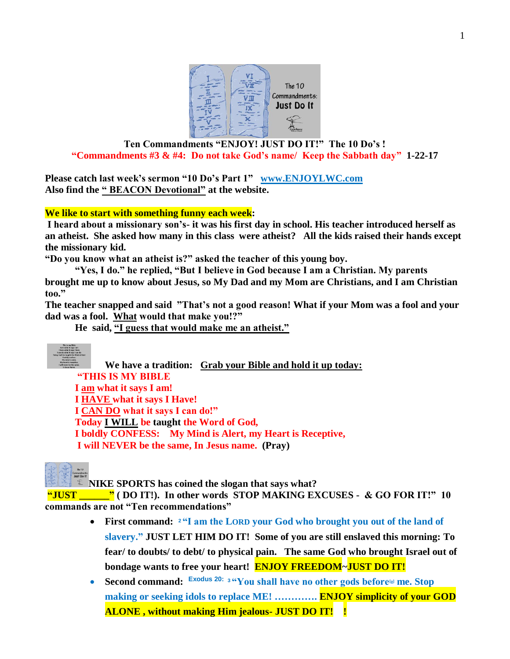

### **Ten Commandments "ENJOY! JUST DO IT!" The 10 Do's ! "Commandments #3 & #4: Do not take God's name/ Keep the Sabbath day" 1-22-17**

**Please catch last week's sermon "10 Do's Part 1" [www.ENJOYLWC.com](http://www.enjoylwc.com/)  Also find the " BEACON Devotional" at the website.**

### **We like to start with something funny each week:**

**I heard about a missionary son's- it was his first day in school. His teacher introduced herself as an atheist. She asked how many in this class were atheist? All the kids raised their hands except the missionary kid.** 

**"Do you know what an atheist is?" asked the teacher of this young boy.**

**"Yes, I do." he replied, "But I believe in God because I am a Christian. My parents brought me up to know about Jesus, so My Dad and my Mom are Christians, and I am Christian too."** 

**The teacher snapped and said "That's not a good reason! What if your Mom was a fool and your dad was a fool. What would that make you!?"** 

**He said, "I guess that would make me an atheist."** 



**We have a tradition: Grab your Bible and hold it up today: "THIS IS MY BIBLE I am what it says I am! I HAVE what it says I Have! I CAN DO what it says I can do!" Today I WILL be taught the Word of God, I boldly CONFESS: My Mind is Alert, my Heart is Receptive, I will NEVER be the same, In Jesus name. (Pray)**

**NIKE SPORTS has coined the slogan that says what?** 

**"JUST \_\_\_\_\_\_" ( DO IT!). In other words STOP MAKING EXCUSES - & GO FOR IT!" 10 commands are not "Ten recommendations"** 

- **First command: <sup>2</sup> "I am the LORD your God who brought you out of the land of slavery." JUST LET HIM DO IT! Some of you are still enslaved this morning: To fear/ to doubts/ to debt/ to physical pain. The same God who brought Israel out of bondage wants to free your heart! ENJOY FREEDOM~JUST DO IT!**
- **Second command: Exodus 20: <sup>3</sup> "You shall have no other gods before[\[a\]](https://www.biblegateway.com/passage/?search=exodus+20%3A2-5&version=NIV#fen-NIV-2055a) me. Stop making or seeking idols to replace ME! …………. ENJOY simplicity of your GOD ALONE , without making Him jealous- JUST DO IT! !**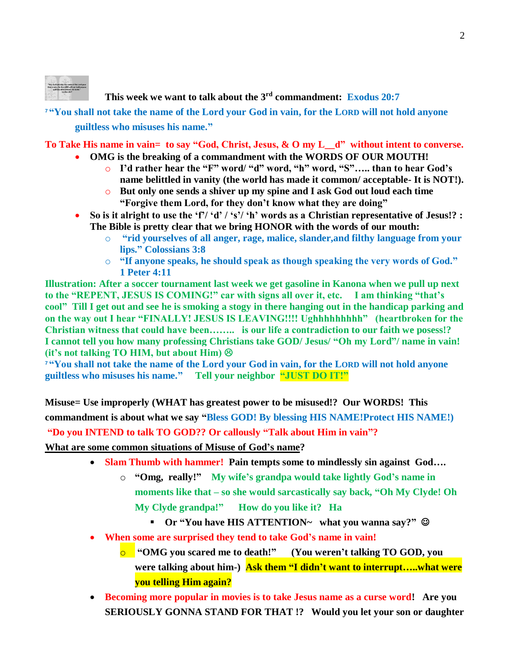

## **This week we want to talk about the 3rd commandment: Exodus 20:7**

**<sup>7</sup> "You shall not take the name of the Lord your God in vain, for the LORD will not hold anyone guiltless who misuses his name."** 

**To Take His name in vain= to say "God, Christ, Jesus, & O my L\_\_d" without intent to converse.** 

- **OMG is the breaking of a commandment with the WORDS OF OUR MOUTH!** 
	- o **I'd rather hear the "F" word/ "d" word, "h" word, "S"….. than to hear God's name belittled in vanity (the world has made it common/ acceptable- It is NOT!).**
	- o **But only one sends a shiver up my spine and I ask God out loud each time "Forgive them Lord, for they don't know what they are doing"**
- **So is it alright to use the 'f'/ 'd' / 's'/ 'h' words as a Christian representative of Jesus!? : The Bible is pretty clear that we bring HONOR with the words of our mouth:** 
	- o **"rid yourselves of all anger, rage, malice, slander,and filthy language from your lips." Colossians 3:8**
	- o **"If anyone speaks, he should speak as though speaking the very words of God." 1 Peter 4:11**

**Illustration: After a soccer tournament last week we get gasoline in Kanona when we pull up next to the "REPENT, JESUS IS COMING!" car with signs all over it, etc. I am thinking "that's cool" Till I get out and see he is smoking a stogy in there hanging out in the handicap parking and on the way out I hear "FINALLY! JESUS IS LEAVING!!!! Ughhhhhhhhh" (heartbroken for the Christian witness that could have been…….. is our life a contradiction to our faith we posess!? I cannot tell you how many professing Christians take GOD/ Jesus/ "Oh my Lord"/ name in vain! (it's not talking TO HIM, but about Him)** 

**<sup>7</sup> "You shall not take the name of the Lord your God in vain, for the LORD will not hold anyone guiltless who misuses his name." Tell your neighbor "JUST DO IT!"**

**Misuse= Use improperly (WHAT has greatest power to be misused!? Our WORDS! This commandment is about what we say "Bless GOD! By blessing HIS NAME!Protect HIS NAME!)**

**"Do you INTEND to talk TO GOD?? Or callously "Talk about Him in vain"?** 

**What are some common situations of Misuse of God's name?** 

- **Slam Thumb with hammer! Pain tempts some to mindlessly sin against God….**
	- o **"Omg, really!" My wife's grandpa would take lightly God's name in moments like that – so she would sarcastically say back, "Oh My Clyde! Oh My Clyde grandpa!" How do you like it? Ha**
		- Or "You have HIS ATTENTION~ what you wanna say?" **©**
- **When some are surprised they tend to take God's name in vain!** 
	- o **"OMG you scared me to death!" (You weren't talking TO GOD, you were talking about him-) Ask them "I didn't want to interrupt…..what were you telling Him again?**
- **Becoming more popular in movies is to take Jesus name as a curse word! Are you SERIOUSLY GONNA STAND FOR THAT !? Would you let your son or daughter**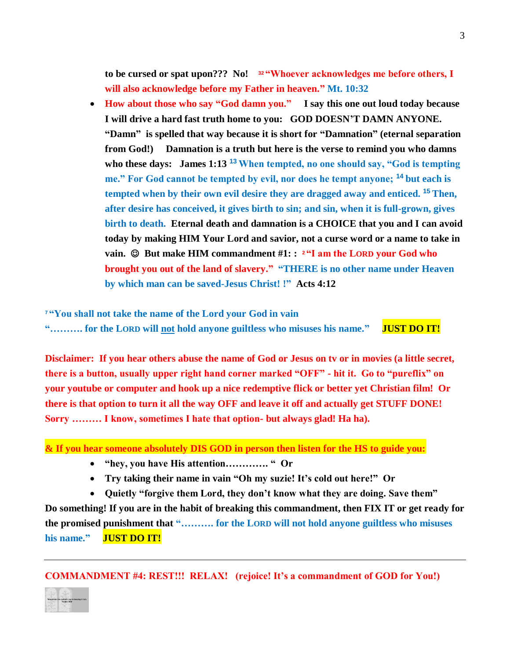**to be cursed or spat upon??? No! <sup>32</sup> "Whoever acknowledges me before others, I will also acknowledge before my Father in heaven." Mt. 10:32**

 **How about those who say "God damn you." I say this one out loud today because I will drive a hard fast truth home to you: GOD DOESN'T DAMN ANYONE. "Damn" is spelled that way because it is short for "Damnation" (eternal separation from God!) Damnation is a truth but here is the verse to remind you who damns who these days: James 1:13 <sup>13</sup> When tempted, no one should say, "God is tempting me." For God cannot be tempted by evil, nor does he tempt anyone; <sup>14</sup> but each is tempted when by their own evil desire they are dragged away and enticed. <sup>15</sup> Then, after desire has conceived, it gives birth to sin; and sin, when it is full-grown, gives birth to death. Eternal death and damnation is a CHOICE that you and I can avoid today by making HIM Your Lord and savior, not a curse word or a name to take in vain. But make HIM commandment #1: : <sup>2</sup> "I am the LORD your God who brought you out of the land of slavery." "THERE is no other name under Heaven by which man can be saved-Jesus Christ! !" Acts 4:12**

**<sup>7</sup> "You shall not take the name of the Lord your God in vain "………. for the LORD will not hold anyone guiltless who misuses his name." JUST DO IT!**

**Disclaimer: If you hear others abuse the name of God or Jesus on tv or in movies (a little secret, there is a button, usually upper right hand corner marked "OFF" - hit it. Go to "pureflix" on your youtube or computer and hook up a nice redemptive flick or better yet Christian film! Or there is that option to turn it all the way OFF and leave it off and actually get STUFF DONE! Sorry ……… I know, sometimes I hate that option- but always glad! Ha ha).** 

**& If you hear someone absolutely DIS GOD in person then listen for the HS to guide you:**

- **"hey, you have His attention…………. " Or**
- **Try taking their name in vain "Oh my suzie! It's cold out here!" Or**

 **Quietly "forgive them Lord, they don't know what they are doing. Save them" Do something! If you are in the habit of breaking this commandment, then FIX IT or get ready for the promised punishment that "………. for the LORD will not hold anyone guiltless who misuses his name." JUST DO IT!**

**COMMANDMENT #4: REST!!! RELAX! (rejoice! It's a commandment of GOD for You!)**

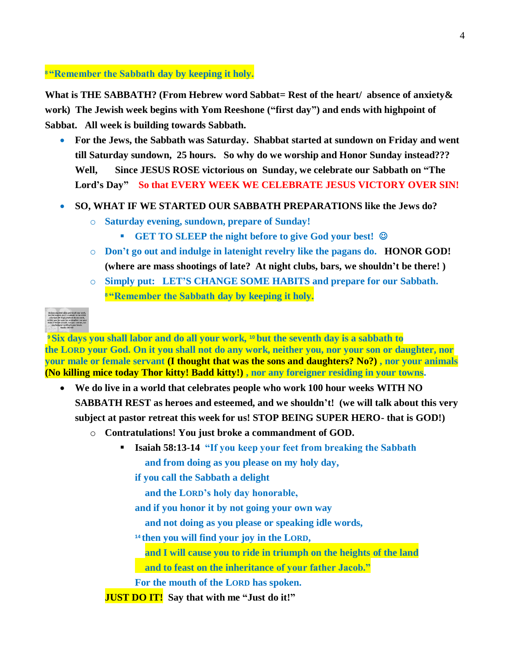**<sup>8</sup> "Remember the Sabbath day by keeping it holy.**

**What is THE SABBATH? (From Hebrew word Sabbat= Rest of the heart/ absence of anxiety& work) The Jewish week begins with Yom Reeshone ("first day") and ends with highpoint of Sabbat. All week is building towards Sabbath.**

- **For the Jews, the Sabbath was Saturday. Shabbat started at sundown on Friday and went till Saturday sundown, 25 hours. So why do we worship and Honor Sunday instead??? Well, Since JESUS ROSE victorious on Sunday, we celebrate our Sabbath on "The**  Lord's Day" So that EVERY WEEK WE CELEBRATE JESUS VICTORY OVER SIN!
- **SO, WHAT IF WE STARTED OUR SABBATH PREPARATIONS like the Jews do?** 
	- o **Saturday evening, sundown, prepare of Sunday!** 
		- **GET TO SLEEP the night before to give God your best!**
	- o **Don't go out and indulge in latenight revelry like the pagans do. HONOR GOD! (where are mass shootings of late? At night clubs, bars, we shouldn't be there! )**
	- o **Simply put: LET'S CHANGE SOME HABITS and prepare for our Sabbath. <sup>8</sup> "Remember the Sabbath day by keeping it holy.**

| Six days you shall labor and do all your work,  |
|-------------------------------------------------|
| but the severeth day is a sabbath to the LORD   |
| . your God. On it you shall not do any work.    |
| neither you, nor your ton or daughter, nor your |
| male or fortale servant, nor your animals, nor  |
| any foreigner residing in your towns.           |
| <b>Exposure 20:9-10</b>                         |
|                                                 |

**<sup>9</sup> Six days you shall labor and do all your work, <sup>10</sup> but the seventh day is a sabbath to the LORD your God. On it you shall not do any work, neither you, nor your son or daughter, nor your male or female servant (I thought that was the sons and daughters? No?) , nor your animals (No killing mice today Thor kitty! Badd kitty!) , nor any foreigner residing in your towns.**

- **We do live in a world that celebrates people who work 100 hour weeks WITH NO SABBATH REST as heroes and esteemed, and we shouldn't! (we will talk about this very subject at pastor retreat this week for us! STOP BEING SUPER HERO- that is GOD!)** 
	- o **Contratulations! You just broke a commandment of GOD.** 
		- **Isaiah 58:13-14 "If you keep your feet from breaking the Sabbath and from doing as you please on my holy day,**
			- **if you call the Sabbath a delight**

 **and the LORD's holy day honorable,**

**and if you honor it by not going your own way**

 **and not doing as you please or speaking idle words,**

**<sup>14</sup> then you will find your joy in the LORD,**

 **and I will cause you to ride in triumph on the heights of the land**

 **and to feast on the inheritance of your father Jacob."**

**For the mouth of the LORD has spoken.**

**JUST DO IT! Say that with me "Just do it!"**